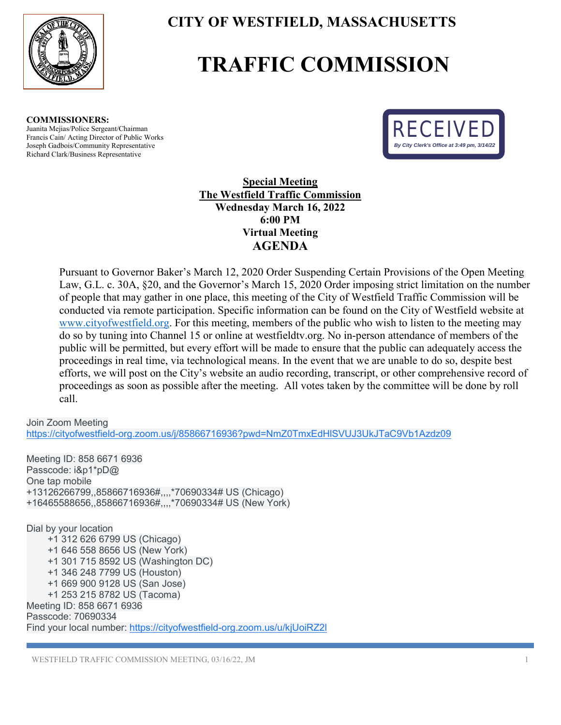

## **CITY OF WESTFIELD, MASSACHUSETTS**

## **TRAFFIC COMMISSION**

**COMMISSIONERS:**  Juanita Mejias/Police Sergeant/Chairman Francis Cain/ Acting Director of Public Works Joseph Gadbois/Community Representative Richard Clark/Business Representative



**Special Meeting The Westfield Traffic Commission Wednesday March 16, 2022 6:00 PM Virtual Meeting AGENDA** 

Pursuant to Governor Baker's March 12, 2020 Order Suspending Certain Provisions of the Open Meeting Law, G.L. c. 30A, §20, and the Governor's March 15, 2020 Order imposing strict limitation on the number of people that may gather in one place, this meeting of the City of Westfield Traffic Commission will be conducted via remote participation. Specific information can be found on the City of Westfield website at [www.cityofwestfield.org.](http://www.cityofwestfield.org/) For this meeting, members of the public who wish to listen to the meeting may do so by tuning into Channel 15 or online at westfieldtv.org. No in-person attendance of members of the public will be permitted, but every effort will be made to ensure that the public can adequately access the proceedings in real time, via technological means. In the event that we are unable to do so, despite best efforts, we will post on the City's website an audio recording, transcript, or other comprehensive record of proceedings as soon as possible after the meeting. All votes taken by the committee will be done by roll call.

Join Zoom Meeting

[https://cityofwestfield-org.zoom.us/j/85866716936?pwd=NmZ0TmxEdHlSVUJ3UkJTaC9Vb1Azdz09](https://www.google.com/url?q=https://cityofwestfield-org.zoom.us/j/85866716936?pwd%3DNmZ0TmxEdHlSVUJ3UkJTaC9Vb1Azdz09&sa=D&source=calendar&usd=2&usg=AOvVaw3ekIVEB_29rOf_OV_RegbU)

Meeting ID: 858 6671 6936 Passcode: i&p1\*pD@ One tap mobile +13126266799,,85866716936#,,,,\*70690334# US (Chicago) +16465588656,,85866716936#,,,,\*70690334# US (New York) Dial by your location +1 312 626 6799 US (Chicago) +1 646 558 8656 US (New York) +1 301 715 8592 US (Washington DC) +1 346 248 7799 US (Houston) +1 669 900 9128 US (San Jose)

 +1 253 215 8782 US (Tacoma) Meeting ID: 858 6671 6936 Passcode: 70690334 Find your local number: [https://cityofwestfield-org.zoom.us/u/kjUoiRZ2l](https://www.google.com/url?q=https://cityofwestfield-org.zoom.us/u/kjUoiRZ2l&sa=D&source=calendar&usd=2&usg=AOvVaw20xCb9mCZ2nUeJjW645N2-)